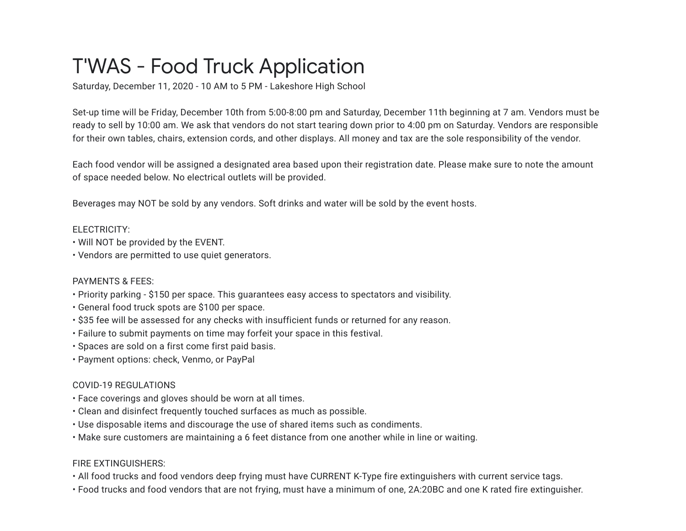# T'WAS - Food Truck Application

Saturday, December 11, 2020 - 10 AM to 5 PM - Lakeshore High School

Set-up time will be Friday, December 10th from 5:00-8:00 pm and Saturday, December 11th beginning at 7 am. Vendors must be ready to sell by 10:00 am. We ask that vendors do not start tearing down prior to 4:00 pm on Saturday. Vendors are responsible for their own tables, chairs, extension cords, and other displays. All money and tax are the sole responsibility of the vendor.

Each food vendor will be assigned a designated area based upon their registration date. Please make sure to note the amount of space needed below. No electrical outlets will be provided.

Beverages may NOT be sold by any vendors. Soft drinks and water will be sold by the event hosts.

### ELECTRICITY:

- Will NOT be provided by the EVENT.
- Vendors are permitted to use quiet generators.

# PAYMENTS & FEES:

- Priority parking \$150 per space. This guarantees easy access to spectators and visibility.
- General food truck spots are \$100 per space.
- \$35 fee will be assessed for any checks with insufficient funds or returned for any reason.
- Failure to submit payments on time may forfeit your space in this festival.
- Spaces are sold on a first come first paid basis.
- Payment options: check, Venmo, or PayPal

# COVID-19 REGULATIONS

- Face coverings and gloves should be worn at all times.
- Clean and disinfect frequently touched surfaces as much as possible.
- Use disposable items and discourage the use of shared items such as condiments.
- Make sure customers are maintaining a 6 feet distance from one another while in line or waiting.

# FIRE EXTINGUISHERS:

- All food trucks and food vendors deep frying must have CURRENT K-Type fire extinguishers with current service tags.
- Food trucks and food vendors that are not frying, must have a minimum of one, 2A:20BC and one K rated fire extinguisher.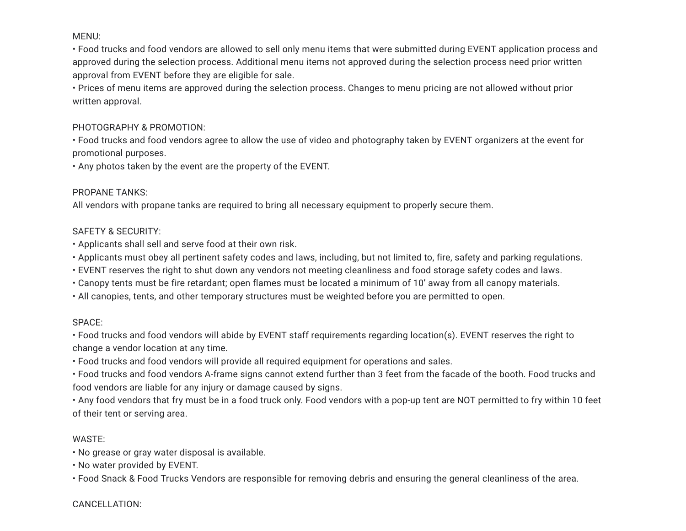### MENU:

• Food trucks and food vendors are allowed to sell only menu items that were submitted during EVENT application process and approved during the selection process. Additional menu items not approved during the selection process need prior written approval from EVENT before they are eligible for sale.

• Prices of menu items are approved during the selection process. Changes to menu pricing are not allowed without prior written approval.

#### PHOTOGRAPHY & PROMOTION:

• Food trucks and food vendors agree to allow the use of video and photography taken by EVENT organizers at the event for promotional purposes.

• Any photos taken by the event are the property of the EVENT.

#### PROPANE TANKS:

All vendors with propane tanks are required to bring all necessary equipment to properly secure them.

#### SAFETY & SECURITY:

• Applicants shall sell and serve food at their own risk.

• Applicants must obey all pertinent safety codes and laws, including, but not limited to, fire, safety and parking regulations.

- EVENT reserves the right to shut down any vendors not meeting cleanliness and food storage safety codes and laws.
- Canopy tents must be fire retardant; open flames must be located a minimum of 10' away from all canopy materials.
- All canopies, tents, and other temporary structures must be weighted before you are permitted to open.

### SPACE:

• Food trucks and food vendors will abide by EVENT staff requirements regarding location(s). EVENT reserves the right to change a vendor location at any time.

• Food trucks and food vendors will provide all required equipment for operations and sales.

• Food trucks and food vendors A-frame signs cannot extend further than 3 feet from the facade of the booth. Food trucks and food vendors are liable for any injury or damage caused by signs.

• Any food vendors that fry must be in a food truck only. Food vendors with a pop-up tent are NOT permitted to fry within 10 feet of their tent or serving area.

### WASTE:

• No grease or gray water disposal is available.

• No water provided by EVENT.

• Food Snack & Food Trucks Vendors are responsible for removing debris and ensuring the general cleanliness of the area.

CANCELLATION: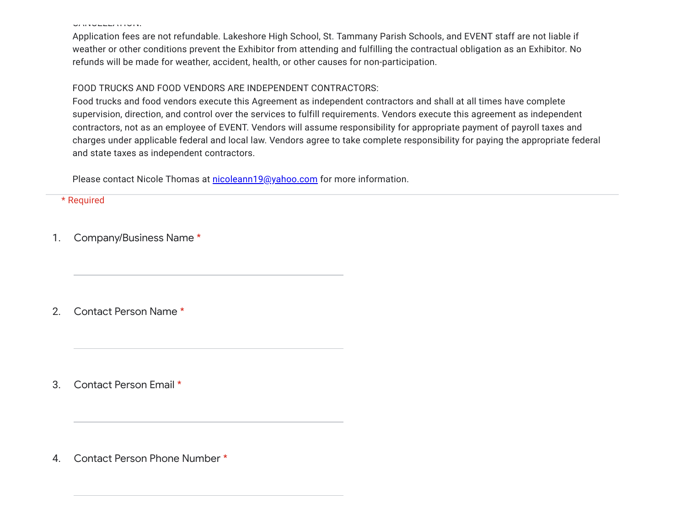CANCELLATION:

Application fees are not refundable. Lakeshore High School, St. Tammany Parish Schools, and EVENT staff are not liable if weather or other conditions prevent the Exhibitor from attending and fulfilling the contractual obligation as an Exhibitor. No refunds will be made for weather, accident, health, or other causes for non-participation.

#### FOOD TRUCKS AND FOOD VENDORS ARE INDEPENDENT CONTRACTORS:

Food trucks and food vendors execute this Agreement as independent contractors and shall at all times have complete supervision, direction, and control over the services to fulfill requirements. Vendors execute this agreement as independent contractors, not as an employee of EVENT. Vendors will assume responsibility for appropriate payment of payroll taxes and charges under applicable federal and local law. Vendors agree to take complete responsibility for paying the appropriate federal and state taxes as independent contractors.

Please contact Nicole Thomas at [nicoleann19@yahoo.com](mailto:nicoleann19@yahoo.com) for more information.

\* Required

1. Company/Business Name \*

2. Contact Person Name \*

3. Contact Person Email \*

4. Contact Person Phone Number \*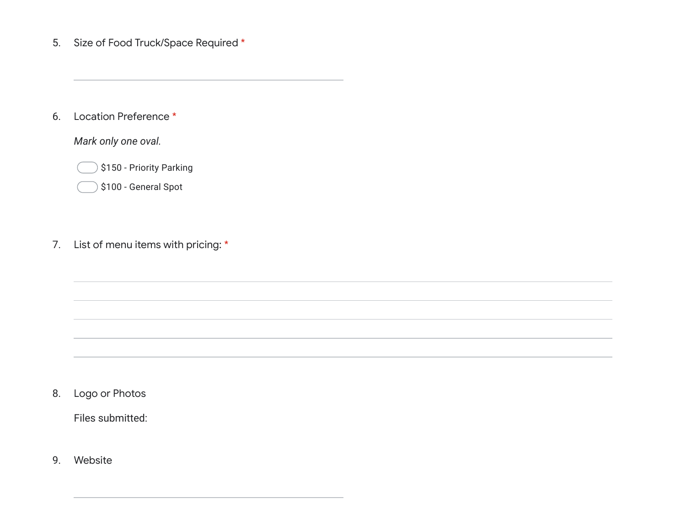5. Size of Food Truck/Space Required \*

6. Location Preference \*

*Mark only one oval.*

\$150 - Priority Parking

\$100 - General Spot

#### 7. List of menu items with pricing: \*

8. Logo or Photos

Files submitted:

9. Website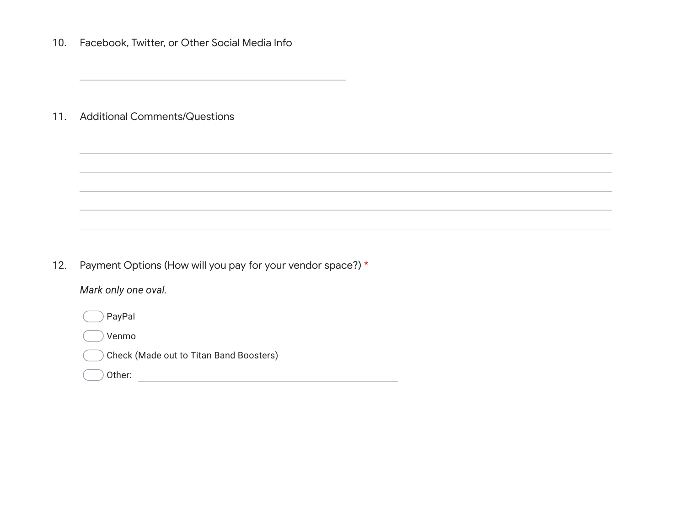10. Facebook, Twitter, or Other Social Media Info

11. Additional Comments/Questions

12. Payment Options (How will you pay for your vendor space?) \*

*Mark only one oval.*

PayPal

Venmo

Check (Made out to Titan Band Boosters)

Other: